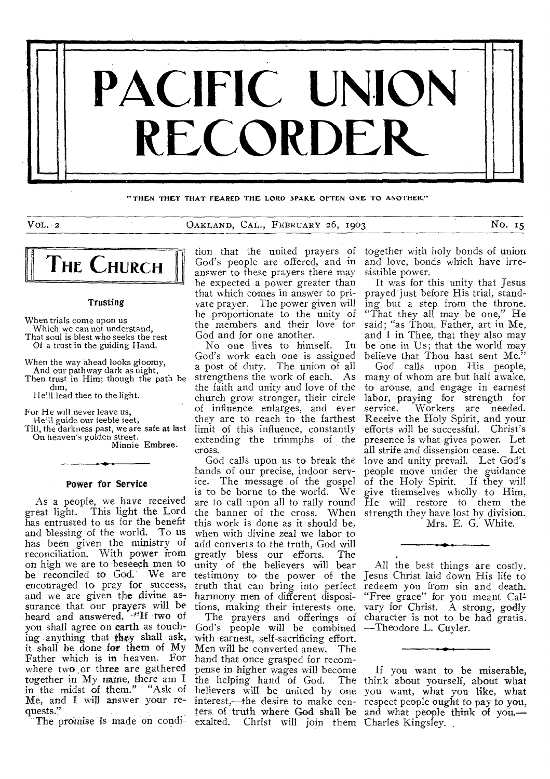

"THEN THEY THAT FEARED THE LORD SPAKE OFTEN ONE TO ANOTHER."

VOL. 2 OAKLAND, CAL., FEBRUARY 26, i9o3 No. 15



#### Trusting

When trials come upon us Which we can not understand, That soul is blest who seeks the rest Of a trust in the guiding Hand.

When the way ahead looks gloomy,

And our path way dark as night, Then trust in Him; though the path be dim,

He'll lead thee to the light.

For He will never leave us,

He'll guide our feeble teet, Till, the darkness past, we are safe at last

On heaven's golden street. Minnie Embree.

Power for Service

As a people, we have received great light. This light the Lord has entrusted to us for the benefit and blessing of the world. To us has been given the ministry of reconciliation. With power from on high we are to beseech men to be reconciled to God. We are encouraged to pray for success, and we are given the divine assurance that our prayers will be heard and answered, <sup>4</sup>H two of you shall agree on earth as touching anything that they shall ask, it shall be done for them of My Father which is in heaven. For where two or three are gathered together in My name, there am in the midst of them." "Ask of Me, and I will answer your requests."

The promise is made on condi

God's people are offered, and in answer to these prayers there may be expected a power greater than that which comes in answer to private prayer. The power given will be proportionate to the unity of the members and their love for God and for one another.

No one lives to himself. In God's work each one is assigned a post of duty. The union of all strengthens the work of each. As the faith and unity and love of the church grow stronger, their circle of influence enlarges, and ever they are to reach to the farthest limit of this influence, constantly extending the triumphs of the cross.

God calls upon us to break the bands of our precise, indoor service. The message of the gospel is to be borne to the world. We are to call upon all to rally round the banner of the cross. When strength they have lost by division. this work is done as it should be, when with divine zeal we labor to add converts to the truth, God will<br>greatly bless our efforts. The greatly bless our efforts. unity of the believers will bear testimony to the power of the truth that can bring into perfect harmony men of different dispositions, making their interests one.

The prayers and offerings of God's people will be combined with earnest, self-sacrificing effort. Men will be converted anew. The hand that once grasped for recompense in higher wages will become ters of truth where God shall be and what people think of you. exalted. Christ will join them Charles Kingsley.

tion that the united prayers of together with holy bonds of union and love, bonds which have irresistible power.

It was for this unity that Jesus prayed just before His trial, standing but a step from the throne. "That they all may be one," He said; "as Thou, Father, art in Me, and I in Thee, that they also may be one in Us; that the world may believe that Thou hast sent Me."

God calls upon His people, many of whom are but half awake, to arouse, and engage in earnest labor, praying for strength for<br>service. Workers are needed. Workers are needed. Receive the Holy Spirit, and your efforts will be successful. Christ's presence is what gives power. Let all strife and dissension cease. Let love and unity prevail. Let God's people move under the guidance of the Holy Spirit. If they will give themselves wholly to Him, He will restore to them the Mrs. E. G. White.

All the best things are costly. Jesus Christ laid down His life to redeem you from sin and death. "Free grace" for you meant Calvary for Christ. A strong, godly character is not to be had gratis. —Theodore L. Cuyler.

the helping hand of God. The think about yourself, about what believers will be united by one you want, what you like, what interest,—the desire to make cen-respect people ought to pay to you, If you want to be miserable,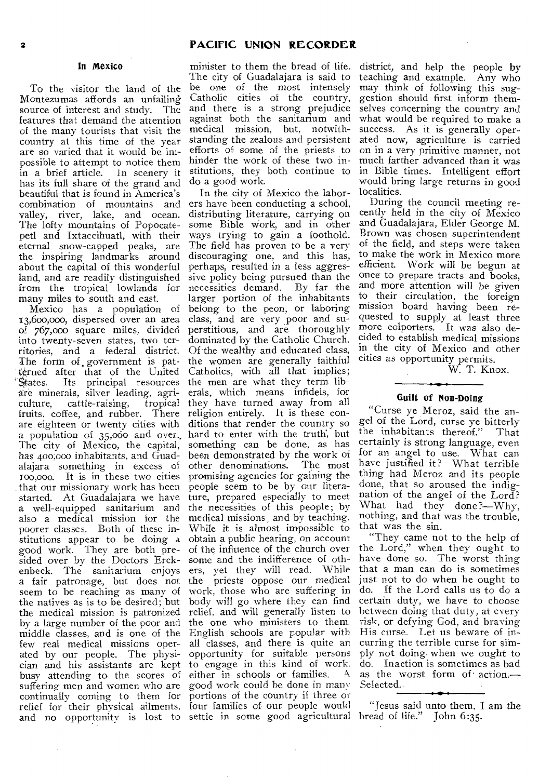# In Mexico

To the visitor the land of the Montezumas affords an unfailing source of interest and study. The features that demand the attention of the many tourists that visit the country at this time of the year are so varied that it would be impossible to attempt to notice them in a brief article. In scenery it has its full share of the grand and beautiful that is found in America's combination of mountains and valley, river, lake, and ocean. The lofty mountains of Popocatepetl and Ixtaccihuatl, with their eternal snow-capped peaks, are the inspiring landmarks around about the capital of this wonderful land, and are readily distinguished sive policy being pursued than the from the tropical lowlands for necessities demand. By far the many miles to south and east.

13,600,000, dispersed over an area of 767,00o square miles, divided perstitious, and are thoroughly into twenty-seven states, two territories, and a federal district, The form of, government is patterned after that of the United Catholics, with all that implies; States. Its principal resources the men are what they term libare minerals, silver leading, agri-erals, which means infidels, for culture, cattle-raising, tropical they have turned away from all fruits, coffee, and rubber. There religion entirely. It is these conare eighteen or twenty cities with ditions that render the country so a population of 35,000 and over. hard to enter with the truth, but The city of Mexico, the capital, something can be done, as has has 400,00o inhabitants, and Guad-been demonstrated by the work of alajara something in excess of other denominations. The most 100,000. It is in these two cities promising agencies for gaining the that our missionary work has been started. At Guadalajara we have a well-equipped sanitarium and also a medical mission for the poorer classes. Both of these institutions appear to be doing a good work. They are both presided over by the Doctors Erckenbeck. The sanitarium enjoys a fair patronage, but does not seem to be reaching as many of the natives as is to be desired; but the medical mission is patronized by a large number of the poor and middle classes, and is one of the few real medical missions operated by our people. The physician and his assistants are kept busy attending to the scores of suffering men and women who are continually coming to them for relief for their physical ailments. four families of our people would and no opportunity is lost to settle in some good agricultural bread of life." John 6:35.

minister to them the bread of life. district, and help the people by The city of Guadalajara is said to be one of the most intensely Catholic cities of the country, and there is a strong prejudice against both the sanitarium and medical mission, but, notwithstanding the zealous and persistent efforts of some of the priests to hinder the work of these two institutions, they both continue to do a good work.

Mexico has a population of belong to the peon, or laboring In the city of Mexico the laborers have been conducting a school, distributing literature, carrying on some Bible work, and in other ways trying to gain a foothold. The field has proven to be a very discouraging one, and this has, perhaps, resulted in a less aggreslarger portion of the inhabitants class, and are very poor and sudominated by the Catholic Church. Of the wealthy and educated class, the women are generally faithful people seem to be by our literature, prepared especially to meet the necessities of this people; by medical missions, and by teaching. While it is almost impossible to obtain a public hearing, on account of the influence of the church over some and the indifference of others, yet they will read. While the priests oppose our medical work, those who are suffering in body will go where they can find relief, and will generally listen to the one who ministers to them. English schools are popular with all classes, and there is quite an opportunity for suitable persons to engage in this kind of work.<br>either in schools or families. A either in schools or families. good work could be done in many portions of the country if three or

teaching and example. Any who may think of following this suggestion should first inform themselves concerning the country and what would be required to make a success. As it is generally operated now, agriculture is carried on in a very primitive manner, not much farther advanced than it was in Bible times. Intelligent effort would bring large returns in good localities.

During the council meeting recently held in the city of Mexico and Guadalajara, Elder George M. Brown was chosen superintendent of the field, and steps were taken to make the work in Mexico more efficient. Work will be begun at once to prepare tracts and books, and more attention will be given to their circulation, the foreign mission board having been requested to supply at least three more colporters. It was also decided to establish medical missions in the city of Mexico and other cities as opportunity permits.

W. T. Knox.

## Guilt of Non-Doing

"Curse ye Meroz, said the angel of the Lord, curse ye bitterly the inhabitants thereof." That certainly is strong language, even for an angel to use. What can have justified it? What terrible thing had Meroz and its people done, that so aroused the indignation of the angel of the Lord? What had they done?—Why, nothing, and that was the trouble, that was the sin.

"They came not to the help of the Lord," when they ought to have done so. The worst thing that a man can do is sometimes just not to do when he ought to do. If the Lord calls us to do a certain duty, we have to choose between doing that duty, at every risk, or defying God, and braving His curse. Let us beware of incurring the terrible curse for simply not doing when we ought to do. Inaction is sometimes as bad as the worst form of action.— Selected.

"Jesus said unto them, I am the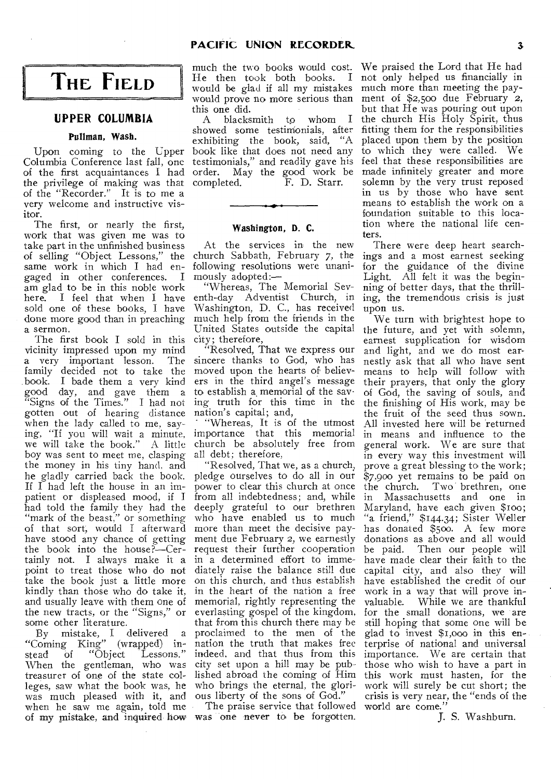# **THE FIELD**

# **UPPER COLUMBIA**

## Pullman, Wash.

Columbia Conference last fall, one of the first acquaintances I had the privilege of making was that completed. F. D. Starr. of the "Recorder." It is to me a very welcome and instructive visitor.

The first, or nearly the first, work that was given me was to take part in the unfinished business of selling "Object Lessons," the church Sabbath, February 7, the same work in which I had engaged in other conferences. I am glad to be in this noble work here. I feel that when I have sold one of these books, I have done more good than in preaching a sermon.

The first book I sold in this city; therefore, vicinity impressed upon my mind a very important lesson. The family decided not to take the book. I bade them a very kind good day, and gave them a "Signs of the Times." I had not gotten out of hearing distance when the lady called to me, saying, "If you will wait a minute, we will take the book." A little boy was sent to meet me, clasping the money in his tiny hand, and he gladly carried back the book. If  $\overline{I}$  had left the house in an impatient or displeased mood, if I from all indebtedness; and, while had told the family they had the deeply grateful to our brethren "mark of the beast," or something of that sort, would I afterward more than meet the decisive payhave stood any chance of getting ment due February 2, we earnestly the book into the house?—Certainly not. I always make it a in a determined effort to immepoint to treat those who do not take the book just a little more kindly than those who do take it, and usually leave with them one of the new tracts, or the "Signs," or some other literature.

By mistake, I delivered a "Coming King" (wrapped) instead of "Object Lessons." When the gentleman, who was treasurer of one of the state colleges, saw what the book was, he was much pleased with it, and when he saw me again, told me of my mistake, and inquired how was one never to be forgotten.

He then took both books. I would be glad if all my mistakes this one did.

Upon coming to the Upper book like that does not need any A blacksmith to whom I showed some testimonials, after exhibiting the book, said, "A testimonials," and readily gave his order. May the good work be completed. F. D. Starr.

## Washington, D. C.

At the services in the new following resolutions were unanimously adopted:—

"Whereas, The Memorial Seventh-day Adventist Church, in Washington, D. C., has received much help from the friends in the

"Resolved, That we express our sincere thanks to God, who has moved upon the hearts of believers in the third angel's message to establish a memorial of the saving truth for this time in the nation's capital; and,

"Whereas, It is of the utmost importance that this memorial church be absolutely free from all debt; therefore,

"Resolved, That we, as a church, pledge ourselves to do all in our power to clear this church at once the church. Two brethren, one who have enabled us to much request their further cooperation diately raise the balance still due on this church, and thus establish in the heart of the nation a free memorial, rightly representing the everlasting gospel of the kingdom, that from this church there may he proclaimed to the men of the nation the truth that makes free indeed, and that thus from this city set upon a hill may be published abroad the coming of Him who brings the eternal, the glorious liberty of the sons of God."

The praise service that followed world are come."

much the two books would cost. We praised the Lord that He had would prove no more serious than ment of \$2,5oo due February 2, not only helped us financially in much more than meeting the paybut that He was pouring out upon the church His Holy Spirit, thus fitting them for the responsibilities placed upon them by the position to which they were called. We feel that these responsibilities are made infinitely greater and more solemn by the very trust reposed in us by those who have sent means to establish the work on a foundation suitable to this location where the national life centers.

> There were deep heart searchings and a most earnest seeking for the guidance of the divine Light. All felt it was the beginning of better days, that the thrilling, the tremendous crisis is just upon us.

United States outside the capital the future, and yet with solemn, We turn with brightest hope to earnest supplication for wisdom and light, and we do most earnestly ask that all who have sent means to help will follow with their prayers, that only the glory of God, the saving of souls, and the finishing of His work, may be the fruit of the seed thus sown. All invested here will be returned in means and influence to the general work. We are sure that in every way this investment will prove a great blessing to the work; \$7,900 yet remains to be paid on in Massachusetts and one in Maryland, have each given \$100; "a friend," \$144.34; Sister Weller has donated \$500. A few more donations as above and all would be paid. Then our people will have made clear their faith to the capital city, and also they will have established the credit of our work in a way that will prove invaluable. While we are thankful for the small donations, we are still hoping that some one will be glad to invest \$1,000 in this enterprise of national and universal importance. We are certain that those who wish to have a part in this work must hasten, for the work will surely be cut short; the crisis is very near, the "ends of the

J. S. Washburn.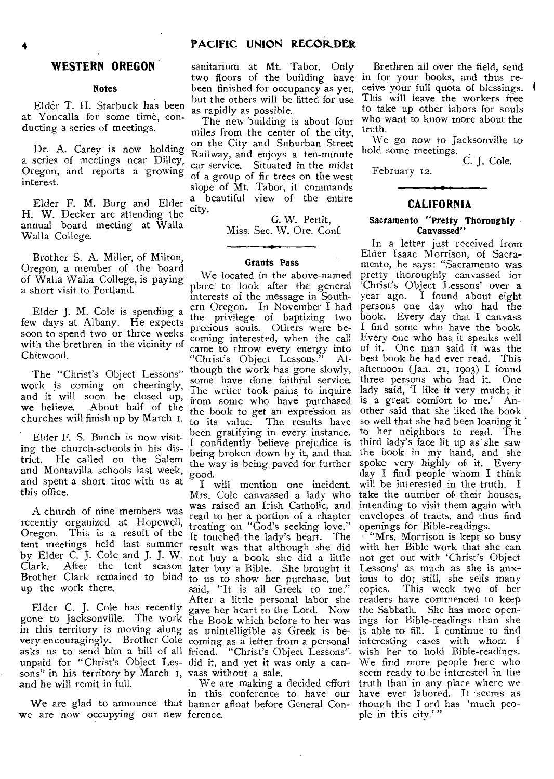# **WESTERN OREGON**

# **Notes**

Elder T. H. Starbuck has been at Yoncalla for some time, conducting a series of meetings.

Dr. A. Carey is now holding a series of meetings near Dilley, Oregon, and reports a growing interest.

Elder F. M. Burg and Elder **H.** W. Decker are attending the annual board meeting at Walla Walla College.

Brother S. A. Miller, of Milton, Oregon, a member of the board of Walla Walla College, is paying a short visit to Portland.

Elder J. M. Cole is spending a few days at Albany. He expects soon to spend two or three weeks with the brethren in the vicinity of Chitwood.

The "Christ's Object Lessons" work is coming on cheeringly, and it will soon be closed up, we believe. About half of the churches will finish up by March 1.

Elder F. S. Bunch is now visiting the church-schools in his district. He called on the Salem and Montavilla schools last week, and spent a short time with us at this office.

A church of nine members was recently organized at Hopewell, Oregon. This is a result of the tent meetings held last summer it follows that although she did by Elder C. **J.** Cole and J. J. W. not buy a book, she did a little Clark. After the tent season Brother Clark remained to bind up the work there.

Elder C. J. Cole has recently Elder C. J. Cole has recently gave her heart to the Lord. Now gone to Jacksonville. The work the Book which before to her was in this territory is moving along as unintelligible as Greek is bevery encouragingly. Brother Cole coming as a letter from a personal asks us to send him a bill of all friend. "Christ's Object Lessons" unpaid for "Christ's Object Les-did it, and yet it was only a cansons" in his territory by March 1, vass without a sale. and he will remit in full.

we are now occupying our new ference.

sanitarium at Mt. Tabor. Only two floors of the building have in for your books, and thus rebeen finished for occupancy as yet, but the others will be fitted for use as rapidly as possible.

The new building is about four miles from the center of the city, on the City and Suburban Street Railway, and enjoys a ten-minute car service. Situated in the midst of a group of fir trees on the west slope of Mt. Tabor, it commands beautiful view of the entire city.

G. W. Pettit, Miss. Sec. W. Ore. Conf.

# **Grants Pass**

We located in the above-named place to look after the general interests of the message in Southern Oregon. In November I had the privilege of baptizing two precious souls. Others were becoming interested, when the call came to throw every energy into<br>"Christ's Object Lessons." Al-"Christ's Object Lessons." though the work has gone slowly, some have done faithful service. The writer took pains to inquire from some who have purchased the book to get an expression as to its value. The results have been gratifying in every instance. I confidently believe prejudice is being broken down by it, and that the way is being paved for further good.

I will mention one incident. Mrs. Cole canvassed a lady who was raised an Irish Catholic, and read to her a portion of a chapter treating on "God's seeking love." It touched the lady's heart. The later buy a Bible. She brought it to us to show her purchase, but said, "It is all Greek to me." After a little personal labor she the Book which before to her was

We are glad to announce that banner afloat before General Con-We are making a decided effort in this conference to have our

Brethren all over the field, send ceive your full quota of blessings. I This will leave the workers free to take up other labors for souls who want to know more about the truth.

We go now to Jacksonville to hold some meetings.

C. J. Cole.

# **CALIFORNIA**

February 12.

## **Sacramento "Pretty Thoroughly Canvassed"**

In a letter just received from Elder Isaac Morrison, of Sacramento, he says: "Sacramento was pretty thoroughly canvassed for `Christ's Object Lessons' over a year ago. I found about eight persons one day who had the book. Every day that I canvass I find some who have the book. Every one who has it speaks well of it. One man said it was the best book he had ever read. This afternoon (Jan. 21, 1903) I found three persons who had it. One lady said, 'I like it very much; it is a great comfort to me.' Another said that she liked the book so well that she had been loaning it to her neighbors to read. The third lady's face lit up as she saw the book in my hand, and she spoke very highly of it. Every day I find people whom I think will be interested in the truth. I take the number of their houses, intending to visit them again with envelopes of tracts, and thus find openings for Bible-readings.

"Mrs. Morrison is kept so busy with her Bible work that she can not get out with 'Christ's Object Lessons' as much as she is anxious to do; still, she sells many copies. This week two of her readers have commenced to keep the Sabbath. She has more openings for Bible-readings than she is able to fill. I continue to find interesting cases with whom wish her to hold Bible-readings. We find more people here who seem ready to be interested in the truth than in any place where we have ever labored. It seems as though the **I** ord has 'much people in this city.''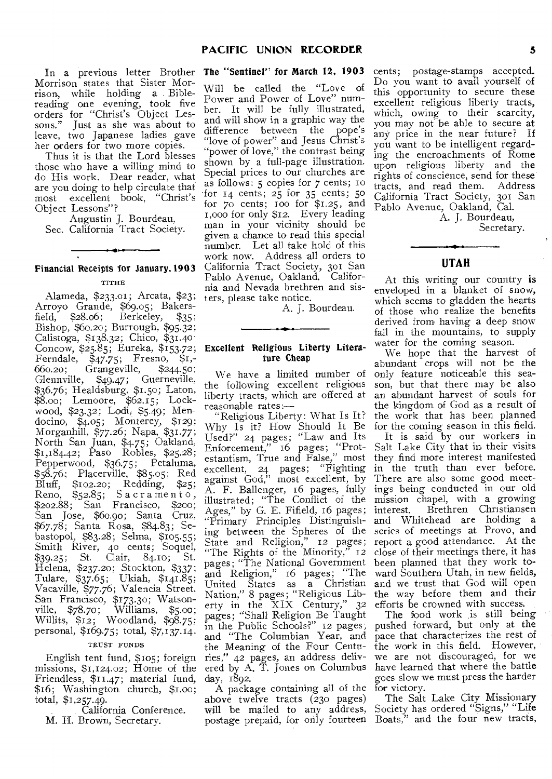In a previous letter Brother Morrison states that Sister Morrison, while holding a Biblereading one evening, took five orders for "Christ's Object Lessons." Just as she was about to leave, two Japanese ladies gave her orders for two more copies.

Thus it is that the Lord blesses those who have a willing mind to do His work. Dear reader, what are you doing to help circulate that most excellent book, "Christ's Object Lessons"?

Augustin J. Bourdeau, Sec. California Tract Society.

# Financial Receipts for January,1903

# TITHE

Alameda, \$233.01; Arcata, \$23; Arroyo Grande, \$69.05; Bakers $field,$   $$28.06;$  Berkeley,  $$35;$ Bishop, \$60.20; Burrough, \$95.32; Calistoga, \$138.32; Chico, \$31.40. Concow, \$25.85; Eureka, \$153.72; Ferndale, \$47-75; Fresno, \$1,- 660.20; Grangeville, \$244.50; Glennville, \$49.47; Guerneville, \$36.76; Healdsburg, \$1.50; Laton, \$8.00; Lemoore, \$62.15; Lockwood, \$23.32; Lodi, \$5.49; Mendocino, \$4.05; Monterey, \$129; Morganhill, \$77.26; Napa, \$31.77; North San Juan, \$4.75; Oakland, \$1,184.42; Paso Robles, \$25.28; Pepperwood, S36.75; Petaluma, \$58.76; Placerville, \$85.05; Red Bluff, \$102.20; Redding, \$25; Reno,  $$52.85$ ; Sacramento, \$202.88; San Francisco, S200; San Jose, \$60.90; Santa Cruz, \$67.78; Santa Rosa, \$84.83; Sebastopol, \$83.28; Selma, \$105.55; Smith River, 40 cents; Soquel,<br>\$30.25; St. Clair, 84.10; St.  $$39.25$ ; St. Clair,  $84.10$ ; Helena, \$237.20; Stockton, \$337: Tulare, \$37.65; Ukiah, \$141.85; Vacaville, \$77.76; Valencia Street. San Francisco, \$173.30; Watsonville, \$78.70; Williams, \$5.00; Willits, \$12; Woodland, \$98.75; personal, \$169.75; total, \$7,137.14.

#### TRUST FUNDS

English tent fund, \$105; foreign missions, \$1,124.02; Home of the Friendless, \$11.47; material fund, \$16; Washington church, \$1.0o; total, \$1,257.49.

California Conference.

M. H. Brown, Secretary.

# The "Sentinel" for March 12, 1903

Will be called the "Love of Power and Power of Love" number. It will be fully illustrated, and will show in a graphic way the difference between the pope's "love of power" and Jesus Christ's "power of love," the contrast being shown by a full-page illustration. Special prices to our churches are as follows: 5 copies for 7 cents; to for 14 cents; 25 for 35 cents; 5o for 70 cents; Too for \$1.25, and r,000 for only \$12. Every leading man in your vicinity should be given a chance to read this special number. Let all take hold of this work now. Address all orders to California Tract Society, 301 San Pablo Avenue, Oakland. California and Nevada brethren and sisters, please take notice.

A. J. Bourdeau.

# Excellent Religious Liberty Literature Cheap

We have a limited number of the following excellent religious liberty tracts, which are offered at reasonable rates:-

"Religious Liberty: What Is It? Why Is it? How Should It Be Used?" 24 pages; "Law and Its Enforcement," 16 pages; "Protestantism, True and False," most excellent, 24 pages; "Fighting against God," most excellent, by A. F. Ballenger, 16 pages, fully illustrated; "The Conflict of the "Primary Principles Distinguishing between the Spheres of the State and Religion," 12 pages; pages; "The National Government and Religion," 16 pages; "The United States as a Christian Nation," 8 pages; "Religious Liberty in the XIX Century," 32 pages; "Shall Religion Be Taught and "The Columbian Year, and the Meaning of the Four Centuries," 42 pages, an address delivered by A. T. Jones on Columbus day, 1892.

A package containing all of the above twelve tracts (230 pages) will be mailed to any address, postage prepaid, for only fourteen Boats," and the four new tracts,

cents; postage-stamps accepted. Do you want to avail yourself of this opportunity to secure these excellent religious liberty tracts, which, owing to their scarcity, you may not be able to secure at any price in the near future? If you want to be intelligent regarding the encroachments of Rome upon religious liberty and the rights of conscience, send for these tracts, and read them. Address California Tract Society, 301 San Pablo Avenue, Oakland, Cal.

A. J. Bourdeau, Secretary.

# **UTAH**

At this writing our country is enveloped in a blanket of snow, which seems to gladden the hearts of those who realize the benefits derived from having a deep snow fall in the mountains, to supply water for the coming season.

We hope that the harvest of abundant crops will not be the only feature noticeable this season, but that there may be also an abundant harvest of souls for the kingdom of God as a result of the work that has been planned for the coming season in this field.

Ages," by G. E. Fifield, 16 pages; interest. Brethren Christiansen "The Rights of the Minority," 12 close of their meetings there, it has It is said by our workers in Salt Lake City that in their visits they find more interest manifested in the truth than ever before. There are also some good meetings being conducted in our old mission chapel, with a growing and Whitehead are holding a series of meetings at Provo, and report a good attendance. At the been planned that they work toward Southern Utah, in new fields, and we trust that God will open the way before them and their efforts be crowned with success.

in the Public Schools?" 12 pages, pushed forward, but only at the The food work is still being pace that characterizes the rest of the work in this field. However, we are not discouraged, for we have learned that where the battle goes slow we must press the harder for victory.

The Salt Lake City Missionary Society has ordered "Signs," "Life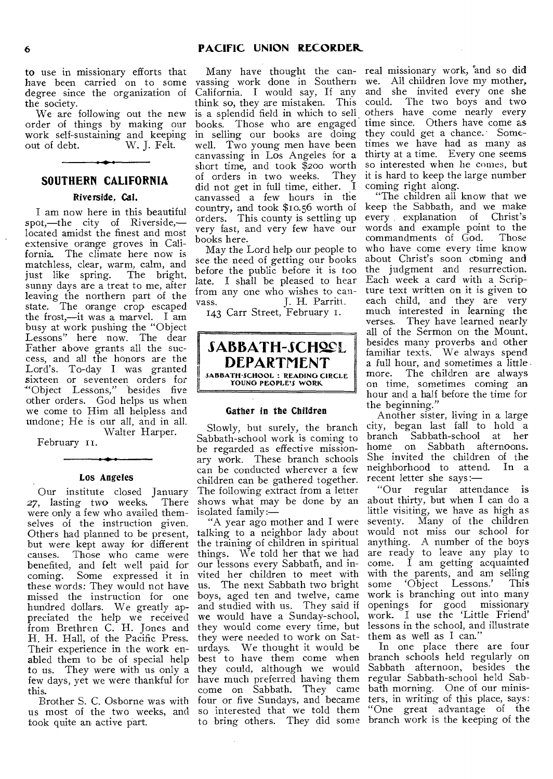to use in missionary efforts that have been carried on to some degree since the organization of the society.

We are following out the new order of things by making our work self-sustaining and keeping out of debt. W. J. Felt.

# **SOUTHERN CALIFORNIA**

# Riverside, Cal.

I am now here in this beautiful spot,—the city of Riverside, located amidst the finest and most extensive orange groves in California. The climate here now is matchless, clear, warm, calm, and just like spring. The bright, sunny days are a treat to me, after leaving the northern part of the state. The orange crop escaped the frost,—it was a marvel. I am busy at work pushing the "Object Lessons" here now. The dear Father above grants all the success, and all the honors are the Lord's. To-day I was granted sixteen or seventeen orders for "Object Lessons," besides five other orders. God helps us when we come to Him all helpless and undone; He is our all, and in all. Walter Harper.

February 11.

## Los Angeles

Our institute closed January *27,* lasting two weeks. There were only a few who availed themselves of the instruction given. Others had planned to be present, but were kept away for different causes. Those who came were benefited, and felt well paid for coming. Some expressed it in these words: They would not have missed the instruction for one hundred dollars. We greatly appreciated the help we received from Brethren C. H. Jones and H. H. Hall, of the Pacific Press. Their experience in the work enabled them to be of special help to us. They were with us only a few days, yet we were thankful for this.

Brother S. C. Osborne was with us most of the two weeks, and took quite an active part.

Many have thought the can- real missionary work, and so did vassing work done in Southern we. All children love my mother, California. I would say, If any and she invited every one she think so, they are mistaken. This could. The two boys and two is a splendid field in which to sell. others have come nearly every books. Those who are engaged time since. Others have come as in selling our books are doing they could get a chance. Somewell. Two young men have been times we have had as many as canvassing in Los Angeles for a thirty at a time. Every one seems short time, and took \$200 worth so interested when he comes, but of orders in two weeks. They did not get in full time, either.  $I$ canvassed a few hours in the country, and took \$10.56 worth of orders. This county is settling up very fast, and very few have our books here.

May the Lord help our people to see the need of getting our books before the public before it is too late. I shall be pleased to hear from any one who wishes to can-<br>vass. [I. H. Parritt.] J. H. Parritt.

143 Carr Street, February 1.



## Gather in the Children

Slowly, but surely, the branch Sabbath-school work is coming to be regarded as effective missionary work. These branch schools can be conducted wherever a few children can be gathered together. The following extract from a letter shows what may be done by an isolated family:—

"A year ago mother and I were talking to a neighbor lady about the training of children in spiritual things. We told her that we had our lessons every Sabbath, and invited her children to meet with us. The next Sabbath two bright boys, aged ten and twelve, came and studied with us. They said if we would have a Sunday-school, they would come every time, but they were needed to work on Saturdays. We thought it would be best to have them come when they could, although we would have much preferred having them come on Sabbath. They came four or five Sundays, and became so interested that we told them

it is hard to keep the large number coming right along.

"The children all know that we keep the Sabbath, and we make every explanation of Christ's words and example point to the commandments of God. Those who have come every time know about Christ's soon coming and the judgment and resurrection. Each week a card with a Scripture text written on it is given to each child, and they are very much interested in learning the verses. They have learned nearly all of the Sermon on the Mount, besides many proverbs and other familiar texts: We always spend a full hour, and sometimes a little. more. The children are always on time, sometimes coming an hour and a half before the time for the beginning."

Another sister, living in a large city, began last fall to hold a branch Sabbath-school at her home on Sabbath afternoons. She invited the children of the neighborhood to attend. In a recent letter she says:—

"Our regular attendance is about thirty, but when I can do a little visiting, we have as high as seventy. Many of the children would not miss our school for anything. A number of the boys are ready to leave any play to<br>come. I am getting acquainted I am getting acquainted with the parents, and am selling<br>some 'Object Lessons.' This some 'Object Lessons.' work is branching out into many openings for good missionary work. I use the 'Little Friend' lessons in the school, and illustrate them as well as I can."

to bring others. They did some branch work is the keeping of the In one place there are four branch schools held regularly on Sabbath afternoon, besides the regular Sabbath-school held Sabbath morning. One of our ministers, in writing of this place, says: "One great advantage of the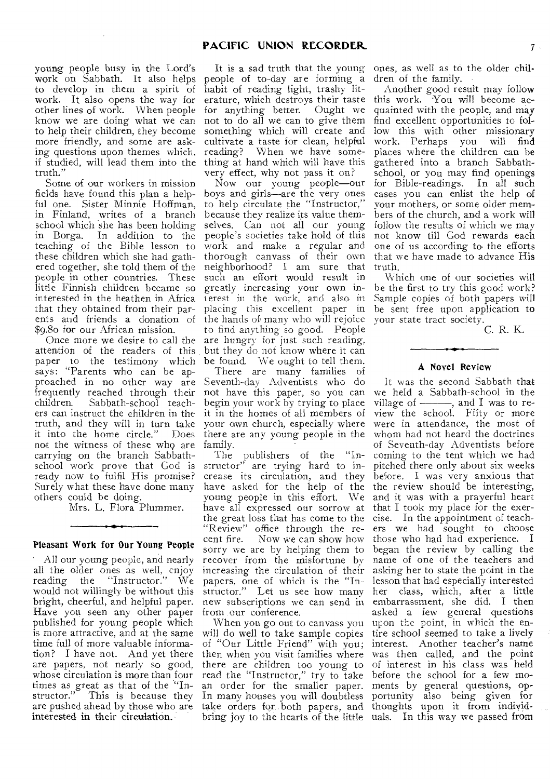young people busy in the Lord's work on Sabbath. It also helps to develop in them a spirit of work. It also opens the way for other lines of work. When people know we are doing what we can to help their children, they become more friendly, and some are asking questions upon themes which. if studied, will lead them into the thing at hand which will have this truth."

Some of our workers in mission fields have found this plan a helpful one. Sister Minnie Hoffman, in Finland, writes of a branch school which she has been holding in Borga. In addition to the teaching of the Bible lesson to these children which she had gathered together, she told them of the people in other countries. These little Finnish children became so interested in the heathen in Africa that they obtained from their parents and friends a donation of \$9.80 for our African mission.

Once more we desire to call the attention of the readers of this but they do not know where it can paper to the testimony which says: "Parents who can be approached in no other way are frequently reached through their children. Sabbath-school teachers can instruct the children in the truth, and they will in turn take it into the home circle." not the witness of these who are carrying on the branch Sabbathschool work prove that God is ready now to fulfil His promise? Surely what these have done many others could be doing.

Mrs. L. Flora Plummer.

#### Pleasant Work for Our Young People

All our young people, and nearly all the older ones as well, enjoy reading the "Instructor." We would not willingly be without this bright, cheerful, and helpful paper. Have you seen any other paper published for young people which is more attractive, and at the same time full of more valuable information? I have not. And yet there are papers, not nearly so good, whose circulation is more than four structor." This is because they are pushed ahead by those who are interested in their circulation.

people of to-day are forming a habit of reading light, trashy literature, which destroys their taste this work. You will become acfor anything better. Ought we not to do all we can to give them something which will create and cultivate a taste for clean, helpful reading? When we have somevery effect, why not pass it on?

Now our young people—our boys and girls—are the very ones to help circulate the "Instructor," because they realize its value themselves. Can not all our young people's societies take hold of this work and make a regular and thorough canvass of their own neighborhood? I am sure that such an effort would result in greatly increasing your own interest in the work, and also in placing this excellent paper in the hands of many who will rejoice to find anything so good. People are hungry for just such reading, be found. We ought to tell them.

There are many families of Seventh-day Adventists who do not have this paper, so you can begin your work by trying to place it in the homes of all members of your own church, especially where there are any young people in the family.

The publishers of the "Instructor" are trying hard to increase its circulation, and they have asked for the help of the young people in this effort. We have all expressed our sorrow at the great loss that has come to the "Review" office through the recent fire. Now we can show how sorry we are by helping them to recover from the misfortune by increasing the circulation of their papers, one of which is the "Instructor." Let us see how many new subscriptions we can send in from our conference.

times as great as that of the "In- an order for the smaller paper. When you go out to canvass you will do well to take sample copies of "Our Little Friend" with you; then when you visit families where there are children too young to read the "Instructor," try to take In many houses you will doubtless take orders for both papers, and

It is a sad truth that the young ones, as well as to the older children of the family.

> Another good result may follow quainted with the people, and may find excellent opportunities to follow this with other missionary work. Perhaps you will find places where the children can be gathered into a branch Sabbathschool, or you may find openings for Bible-readings. In all such cases you can enlist the help of your mothers, or some older members of the church, and a work will follow the results of which we may not know till God rewards each one of us according to the efforts that we have made to advance His truth.

> Which one of our societies will be the first to try this good work? Sample copies of both papers will be sent free upon application to your state tract society.

> > C. R. K.

# A Novel Review

bring joy to the hearts of the little uals. In this way we passed from It was the second Sabbath that we held a Sabbath-school in the village of  $\longrightarrow$ , and I was to review the school. Fifty or more were in attendance, the most of whom had not heard the doctrines of Seventh-day Adventists before coming to the tent which we had pitched there only about six weeks before. I was very anxious that the review should be interesting, and it was with a prayerful heart that I took my place for the exercise. In the appointment of teachers we had sought to choose those who had had experience. I began the review by calling the name of one of the teachers and asking her to state the point in the lesson that had especially interested her class, which, after a little embarrassment, she did. I then asked a few general questions upon the point, in which the entire school seemed to take a lively interest. Another teacher's name was then called, and the point of interest in his class was held before the school for a few moments by general questions, opportunity also being given for thoughts upon it from individ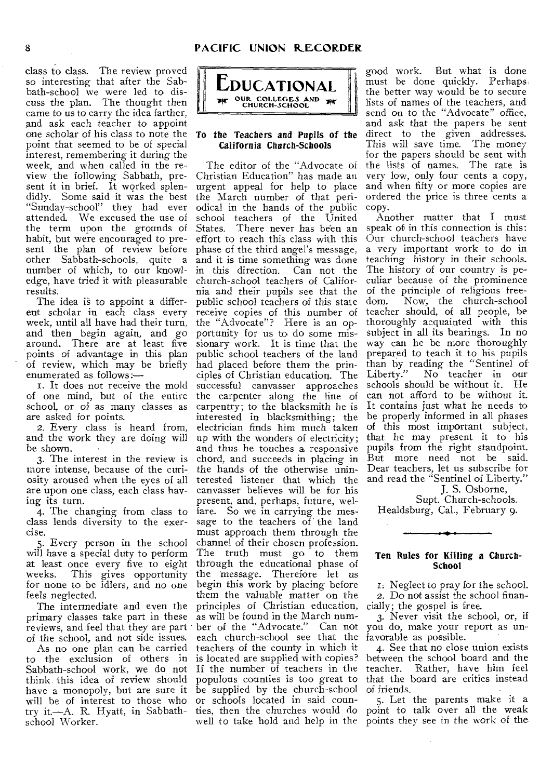class to class. The review proved so interesting that after the Sabbath-school we were led to discuss the plan. The thought then came to us to carry the idea farther, and ask each teacher to appoint one scholar of his class to note the point that seemed to be of special interest, remembering it during the week, and when called in the review the following Sabbath, present it in brief. It worked splendidly. Some said it was the best "Sunday-school" they had ever attended. We excused the use of the term upon the grounds of habit, but were encouraged to present the plan of review before other Sabbath-schools, quite a number of which, to our knowledge, have tried it with pleasurable church-school teachers of Califorresults.

The idea is to appoint a different scholar in each class every week, until all have had their turn, and then begin again, and go around. There are at least five points of advantage in this plan of review, which may be briefly enumerated as follows :-

I. It does not receive the mold of one mind, but of the entire school, or of as many classes as are asked for points.

2. Every class is heard from, and the work they are doing will be shown.

3. The interest in the review is more intense, because of the curiosity aroused when the eyes of all are upon one class, each class having its turn.

4. The changing from class to class lends diversity to the exercise.

5. Every person in the school will have a special duty to perform at least once every five to eight<br>weeks. This gives opportunity This gives opportunity for none to be idlers, and no one feels neglected.

The intermediate and even the primary classes take part in these reviews, and feel that they are part of the school, and not side issues.

As no one plan can be carried to the exclusion of others in Sabbath-school work, we do not think this idea of review should have a monopoly, but are sure it will be of interest to those who try it.—A. R. Hyatt, in Sabbathschool Worker.



# To the Teachers and Pupils of the California Church-Schools

The editor of the "Advocate of Christian Education" has made an urgent appeal for help to place the March number of that periodical in the hands of the public school teachers of the United States. There never has been an effort to reach this class with this phase of the third angel's message. and it is time something was done in this direction. Can not the nia and their pupils see that the public school teachers of this state receive copies of this number of the "Advocate"? Here is an opportunity for us to do some missionary work. It is time that the public school teachers of the land had placed before them the principles of Christian education. The successful canvasser approaches the carpenter along the line of carpentry; to the blacksmith he is interested in blacksmithing; the electrician finds him much taken up with the wonders of electricity; and thus he touches a responsive chord, and succeeds in placing in the hands of the otherwise uninterested listener that which the canvasser believes will be for his present, and, perhaps, future, welfare. So we in carrying the message to the teachers of the land must approach them through the channel of their chosen profession. The truth must go to them through the educational phase of the 'message. Therefore let us begin this work by placing before them the valuable matter on the principles of Christian education, as will be found in the March number of the "Advocate." Can not you do, make your report as uneach church-school see that the favorable as possible. teachers of the county in which it is located are supplied with copies? If the number of teachers in the teacher. Rather, have him feel populous counties is too great to be supplied by the church-school or schools located in said counwell to take hold and help in the points they see in the work of the

good work. But what is done must be done quickly. Perhaps the better way would be to secure lists of names of the teachers, and send on to the "Advocate" office, and ask that the papers be sent direct to the given addresses. This will save time. The money for the papers should be sent with the lists of names. The rate is very low, only four cents a copy, and when fifty or more copies are ordered the price is three cents a copy.

Another matter that I must speak of in this connection is this: Our church-school teachers have a very important work to do in teaching history in their schools. The history of our country is peculiar because of the prominence of the principle of religious freedom. Now, the church-school teacher should, of all people, be thoroughly acquainted with this subject in all its bearings. In no way can he be more thoroughly prepared to teach it to his pupils than by reading the "Sentinel of Liberty." No teacher in our schools should be without it. He can not afford to be without it. It contains just what he needs to be properly informed in all phases of this most important subject, that he may present it to his pupils from the right standpoint. But more need not be said. Dear teachers, let us subscribe for and read the "Sentinel of Liberty."

J. S. Osborne,

Supt. Church-schools. Healdsburg, Cal., February 9.

# Ten Rules for Killing a Church-School

1. Neglect to pray for the school. 2. Do not assist the school financially; the gospel is free.

3. Never visit the school, or, if

4. See that no close union exists between the school board and the that the board are critics instead of friends.

ties, then the churches would do point to talk over all the weak 5. Let the parents make it a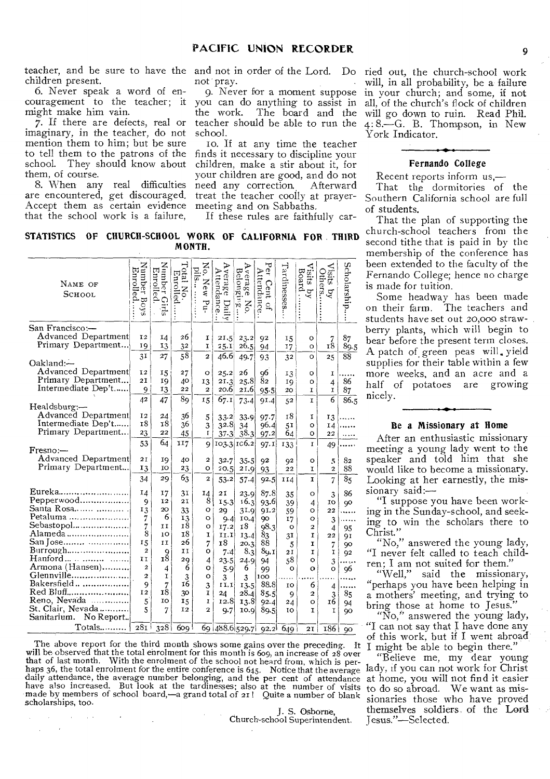teacher, and be sure to have the and not in order of the Lord. Do children present.

6. Never speak a word of encouragement to the teacher; it might make him vain.

7. If there are defects, real or imaginary, in the teacher, do not mention them to him; but be sure to tell them to the patrons of the school. They should know about them, of course.

8. When any real difficulties are encountered, get discouraged. Accept them as certain evidence that the school work is a failure,

not pray.

9. Never for a moment suppose you can do anything to assist in the work. The board and the teacher should be able to run the school.

Io. If at any time the teacher finds it necessary to discipline your children, make a stir about it, for your children are good, and do not need any correction, Afterward treat the teacher coolly at prayermeeting and on Sabbaths.

If these rules are faithfully car-

will go down to ruin. Read Phil. 4: 8.<sup>-</sup>G. B. Thompson, in New York Indicator.

# **Fernando College**

ried out, the church-school work will, in all probability, be a failure in your church; and some, if not all, of the church's flock of children

Recent reports inform us,— That the dormitories of the Southern California school are full of students.

That the plan of supporting the church-school teachers from the second tithe that is paid in by the membership of the conference has been extended to the faculty of the Fernando College; hence no charge is made for tuition.

Some headway has been made on their farm. The teachers and students have set out 20,000 strawberry plants, which will begin to bear before the present term closes. A patch of.green peas will. yield supplies for their table within a few more weeks, and an acre and a half of potatoes are growing nicely.

## **Be a Missionary at Home**

After an enthusiastic missionary meeting a young lady went to the speaker and told him that she would like to become a missionary. Looking at her earnestly, the mis $sionary said:$ 

"I suppose you have been working in the Sunday-school, and seeking to win the scholars there to Christ."

"No," answered the young lady, "I never felt called to teach children; I am not suited for them."

"Well," said the missionary, "perhaps you have been helping in a mothers' meeting, and trying to bring those at home to Jesus.

"No," answered the young lady, "I can not say that I have done any of this work, but if I went abroad I might be able to begin there."

"Believe me, my dear young lady, if you can not work for Christ at home, you will not find it easier to do so abroad. We want as missionaries those who have proved themselves soldiers of the Lord Jesus."-Selected.

# **STATISTICS OF CHURCH-SCHOOL WORK OF CALIFORNIA FOR THIRD MONTH.**

| NAME OF<br>SCHOOL                         | Number Boys<br>Enrolled | Number Girls<br>Enrolled | Total No.<br>Enrolled. | No. New Pu-<br>pils | Average<br>Attendance<br>Daily | Average<br>Belongirg<br>$_{\rm No.}$ | Per Cent of<br>Attendance | Tardinesses | Visits by<br>Board. | <b>Visits</b><br>Others.<br>$\overline{q}$ | Scholarship    |
|-------------------------------------------|-------------------------|--------------------------|------------------------|---------------------|--------------------------------|--------------------------------------|---------------------------|-------------|---------------------|--------------------------------------------|----------------|
| San Francisco:-                           |                         |                          |                        |                     |                                |                                      |                           |             |                     |                                            |                |
| Advanced Department<br>Primary Department | 12<br>19                | 14                       | 26                     | I<br>I              | 21.5                           | 23.2                                 | 92                        | 15          | o                   | $\frac{7}{18}$                             | 87             |
|                                           |                         | 13<br>27                 | 32<br>$\overline{58}$  |                     | 25.1<br>46.6                   | 26.5                                 | 94                        | 17          | o                   |                                            | 89.5           |
| Oakland:-                                 | 31                      |                          |                        | $\overline{a}$      |                                | 49.7                                 | 93                        | 32          | O                   | 25                                         | 88             |
| Advanced Department                       | 12                      | 15                       | 27                     | $\circ$             | 25.2                           | 26                                   | 96                        | 13          | о                   | ĩ                                          |                |
| Primary Department                        | 21                      | 19                       | 40                     | 13                  | 21.3                           | 25.8                                 | 8 <sub>2</sub>            | 19          | $\circ$             | 4                                          | 86             |
| Intermediate Dep't                        | 9                       | 13                       | 22                     | $\overline{2}$      | 20.6                           | 21.6                                 | $95 - 5$                  | 20          | I                   | $\mathbf I$                                | 87             |
|                                           | 42                      | 47                       | 89                     | 15                  | 67.1                           | 73.4                                 | 91.4                      | 52          | $\mathbf{I}$        | $\overline{6}$                             | 86.5           |
| Healdsburg:-                              |                         |                          |                        |                     |                                |                                      |                           |             |                     |                                            |                |
| Advanced Department<br>Intermediate Dep't | 12<br>18                | 24<br>18                 | 36                     | 5                   | 33.2                           | 33.9                                 | 97.7                      | 18          | 1                   | 13                                         |                |
| Primary Department                        |                         |                          | 36                     | 3                   | 32.8                           | 34                                   | 96.4                      | 51          | o                   | 14                                         |                |
|                                           | 23                      | 22                       | 45                     | $\mathbf{I}$        | $37 - 3$                       | 38.3                                 | 97.2                      | 64          | o                   | 22                                         |                |
| $F$ resno:—                               | 53                      | 64                       | 117                    | 9                   |                                | 103.3 106.2                          | 97.1                      | 133         | I                   | 49                                         |                |
| Advanced Department                       | 2I                      |                          |                        |                     |                                |                                      |                           |             |                     |                                            |                |
| Primary Department                        |                         | 19                       | 40                     | $\mathbf{2}$        | 32.7                           | 35.5                                 | 92                        | Q2          | о                   | 5                                          | 82             |
|                                           | 13                      | ΙO                       | 23                     | $\circ$             | 20.5                           | 21.9                                 | 93                        | 22          | I                   | $\overline{a}$                             | 88             |
|                                           | 34                      | 29                       | 63                     | 2                   | 53.2                           | 57.4                                 | 92.5                      | 114         | <sup>T</sup>        | $\overline{7}$                             | 8 <sub>5</sub> |
| Eureka                                    | 14                      | 17                       | 3 <sub>1</sub>         | 14                  | 21                             | 23.9                                 | 87.8                      | 35          | o                   | 3                                          | 86             |
| Pepperwood                                | 9                       | 12                       | 21                     | 8                   | 15.3                           | 16.3                                 | 93.6                      | 39          | 4                   | 10                                         | 90             |
| Santa Rosa                                | 13                      | 20                       | 33                     | о                   | 29                             | 31.9                                 | 91.2                      | 59          | о                   | 22                                         |                |
| Petaluma                                  | 7                       | 6                        | 13                     | o                   | 9.4                            | IO.4                                 | 90                        | 17          | $\circ$             | 3                                          |                |
| Sebastopol                                | 7                       | ΙI                       | 18                     | o                   | 17.2                           | 18                                   | 98.3                      | $\circ$     | $\overline{a}$      | 4                                          | 95             |
| Alameda                                   | 8                       | 10                       | 18                     | I                   | II,I                           | 13.4                                 | 83                        | 31          | I                   | 22                                         | 91             |
| San Jose                                  | 15                      | II                       | 26                     | 7                   | 18                             | 20.3                                 | 88                        | 5           | I                   | 7                                          | 90             |
| Burrough                                  | $\overline{a}$          | 9                        | IJ                     | о                   | 7.4                            | 8.3                                  | 89.1                      | 21          | I                   | I                                          | 92             |
| $\text{Handord}\dots\dots\dots\dots$      | 11                      | 18                       | 29                     | 4                   | 23.5                           | 24.9                                 | 94                        | 58          | $\circ$             | 3                                          |                |
| Armona (Hansen)                           | $\overline{2}$          | 4                        | 6                      | o                   | 5.9                            | 6                                    | 99                        | $\circ$     | o                   | o                                          | 96             |
| Glennville                                | $\overline{2}$          | I                        | 3                      | $\circ$             | 3                              | 3                                    | 100                       |             |                     |                                            |                |
| Bakersfield                               | 9                       | 7                        | 16                     | 3                   | [1.1]                          | 13.5                                 | 88.8                      | ŢΟ          | 6                   | 4                                          |                |
| Red Bluff                                 | 12                      | 18                       | 30                     | I                   | 24                             | 28.4                                 | 85.5                      | 9           | $\boldsymbol{2}$    | 3                                          | 85             |
| Reno, Nevada                              | 5                       | IO                       | 15                     | I                   | 12.8                           | 13.8                                 | 92.4                      | 24          | $\circ$             | 16                                         | 94             |
| St. Clair, Nevada<br>Sanitarium.          | 5                       | $\overline{7}$           | 12                     | $\overline{2}$      | 9.7                            | 10.9                                 | 89.5                      | 10          | I                   | I                                          | 90             |
| No Report.                                |                         |                          |                        |                     |                                |                                      |                           |             |                     |                                            |                |
| Totals                                    | 281                     | 328                      | 609 <sup>1</sup>       |                     | 69 488.6 529.7 92.2 649        |                                      |                           |             | 2I                  | $186$ 90                                   |                |

The above report for the third month shows some gains over the preceding. It will be observed that the total enrolment for this month is 609, an increase of 28 over that of last month. With the enrolment of the school not heard from, which is perhaps 36, the total enrolment for the entire conference is 645. Notice that the average daily attendance, the average number belonging, and the per cent of attendance have also increased. But look at the tardinesses; also at the number of visits made by members of school board,-a grand total of 21! Quite a number of blank scholarships, too.

J. S. Osborne, Church-school Superintendent.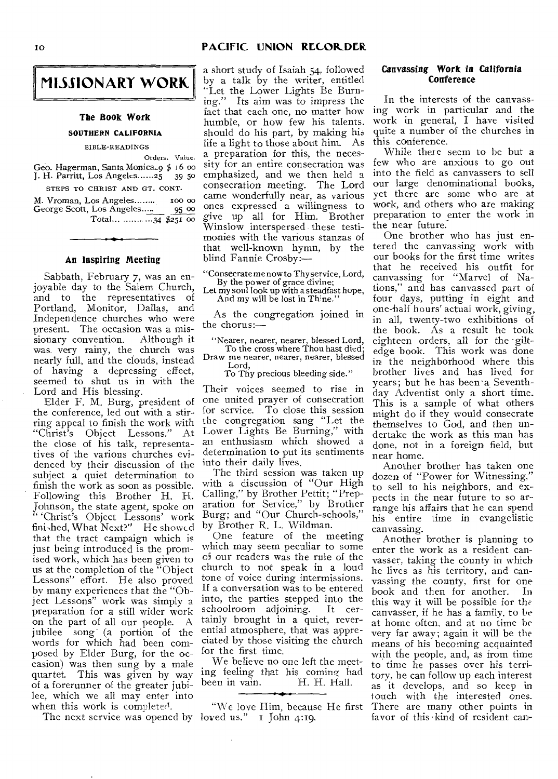# 10 **PACIFIC UNION RECORDER**



#### **The Book Work**

## **SOUTHERN CALIFORNIA**

BIBLE-READINGS

Orders. Vaiue. Geo. Hagerman, Santa Monica..9 \$ 16 oo<br>J. H. Parritt, Los Angeles......25 39 50 J. H. Parritt, Los Angeles ......25

STEPS TO CHRIST AND GT. CONT.

M. Vroman, Los Angeles........Ioo 00 George Scott, Los Angeles..... Total...  $\frac{1}{34}$  \$251 00

#### **An Inspiring Meeting**

Sabbath, February 7, was an enjoyable day to the Salem Church, and to the representatives of Portland, Monitor, Dallas, and Independence churches who were present. The occasion was a mis-<br>sionary convention. Although it sionary convention. was very rainy, the church was nearly full, and the clouds, instead of having a depressing effect, seemed to shut us in with the Lord and His blessing.

Elder F. M. Burg, president of the conference, led out with a stirring appeal to finish the work with "Christ's Object Lessons." At the close of his talk, representatives of the various churches evidenced by their discussion of the subject a quiet determination to finish the work as soon as possible. Following this Brother H. H. Johnson, the state agent, spoke on " 'Christ's Object Lessons' work fini,hed, What  $Next?''$  He showed that the tract campaign which is just being introduced is the promised work, which has been given to us at the completion of the "Object Lessons" effort. He also proved by many experiences that the "Object Lessons" work was simply a preparation for a still wider work on the part of all our people. A jubilee song (a portion of the words for which had been composed by Elder Burg, for the occasion) was then sung by a male quartet. This was given by way of a forerunner of the greater jubilee, which we all may enter into when this work is completed.

The next service was opened by loved us." I John 4:19.

a short study of Isaiah 54, followed by a talk by the writer, entitled "Let the Lower Lights Be Burning." Its aim was to impress the fact that each one, no matter how humble, or how few his talents. should do his part, by making his life a light to those about him. As a preparation for this, the necessity for an entire consecration was emphasized, and we then held a consecration meeting. The Lord came wonderfully near, as various ones expressed a willingness to give up all for Him. Brother Winslow interspersed these testimonies with the various stanzas of that well-known hymn, by the blind Fannie Crosby:—

"Consecrate me now to Thy service, Lord, By the power of grace divine;

Let my soul look up with a steadfast hope, And my will be lost in Th'ne."

As the congregation joined in the chorus:—

"Nearer, nearer, nearer, blessed Lord, To the cross where Thou hast died; Draw me nearer, nearer, nearer, blessed

Lord, To Thy precious bleeding side."

Their voices seemed to rise in one united prayer of consecration for service. To close this session the congregation sang "Let the Lower Lights Be Burning," with an enthusiasm which showed a determination to put its sentiments into their daily lives.

The third session was taken up with a discussion of "Our High Calling," by Brother Pettit; "Preparation for Service," by Brother Burg; and "Our Church-schools," by Brother R. L. Wildman.

One feature of the meeting which may seem peculiar to some of our readers was the rule of the church to not speak in a loud tone of voice during intermissions. If a conversation was to be entered into, the parties stepped into the schoolroom adjoining. It certainly brought in a quiet, reverential atmosphere, that was appreciated by those visiting the church for the first time.

We believe no one left the meeting feeling that his coming had<br>been in vain. H. H. Hall. been in vain.

"We love Him, because He first

# **Canvassing Work in California Conference**

In the interests of the canvassing work in particular and the work in general, I have visited quite a number of the churches in this conference.

While there seem to be but a few who are anxious to go out into the field as canvassers to sell our large denominational books, yet there are some who are at work, and others who are making preparation to enter the work in the near future:

One brother who has just entered the canvassing work with our books for the first time writes that he received his outfit for canvassing for "Marvel of Nations," and has canvassed part of four days, putting in eight and one-half hours' actual work, giving, in all, twenty-two exhibitions of the book. As a result he took eighteen orders, all for the giltedge book. This work was done in the neighborhood where this brother lives and has lived for years; but he has been 'a, Seventhday Adventist only a short time. This is a sample of what others might do if they would consecrate themselves to God, and then undertake the work as this man has done, not in a foreign field, but near home.

Another brother has taken one dozen of "Power for Witnessing," to sell to his neighbors, and expects in the near future to so arrange his affairs that he can spend his entire time in evangelistic canvassing.

Another brother is planning to enter the work as a resident canvasser, taking the county in which he lives as his territory, and canvassing the county, first for one book and then for another. In this way it will be possible for the canvasser, if he has a family, to be at home often, and at no time he very far away; again it will be the means of his becoming acquainted with the people, and, as from time to time he passes over his territory, he can follow up each interest as it develops, and so keep in touch with the interested ones. There are many other points in favor of this kind of resident can-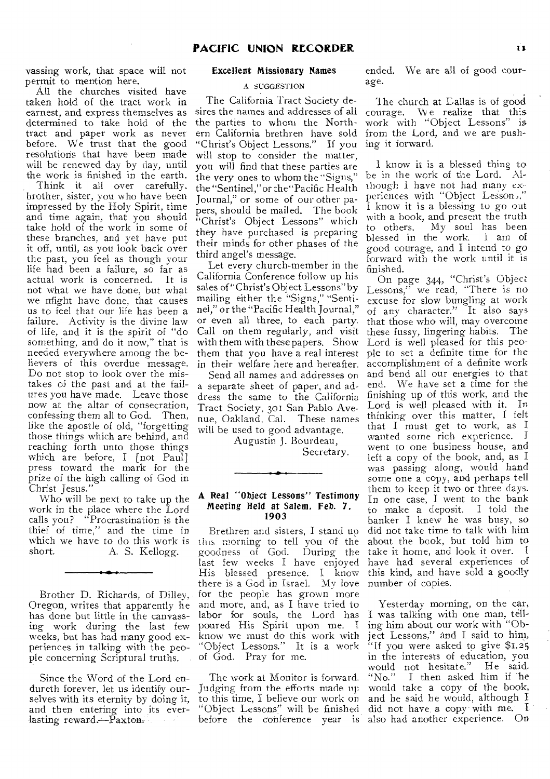vassing work, that space will not permit to mention here.

All the churches visited have taken hold of the tract work in earnest, and express themselves as determined to take hold of the tract and paper work as never before. We trust that the good resolutions that have been made will be renewed day by day, until the work is finished in the earth.

Think it all over carefully. brother, sister, you who have been impressed by the Holy Spirit, time and time again, that you should take hold of the work in some of these branches, and yet have put it off, until, as you look back over the past, you feel as though your life had been a failure, so far as actual work is concerned. It is not what we have done, but what we Might have done, that causes us to feel that our life has been a failure. Activity is the divine law of life, and it is the spirit of "do something, and do it now," that is needed everywhere among the believers of this overdue message. Do not stop to look over the mistakes of the past and at the failures you have made. Leave those now at the altar of consecration, confessing them all to God. Then, like the apostle of old, "forgetting those things which are behind, and reaching forth unto those things which are before, I [not Paul] press toward the mark for the prize of the high calling of God in Christ Jesus."

Who will be next to take up the work in the place where the Lord calls you? "Procrastination is the thief of time," and the time in which we have to do this work is<br>short.  $\Delta$ . S. Kellogg. A. S. Kellogg.

Brother D. Richards, of Dilley, Oregon, writes that apparently he has done but little in the canvassing work during the last few weeks, but has had many good experiences in talking with the people concerning Scriptural truths.

Since the Word of the Lord endureth forever, let us identify ourselves with its eternity by doing it, and then entering into its everlasting reward.--Paxton.

#### Excellent Missionary Names

#### A SUGGESTION

The California Tract Society desires the names and addresses of all the parties to whom the Northern California brethren have sold "Christ's Object Lessons." If you will stop to consider the matter, you will find that these parties are the very ones to whom the "Signs," the "Sentinel,"or the"Pacific Health Journal," or some of our other papers, should be mailed. The book "Christ's Object Lessons" which they have purchased is preparing their minds for other phases of the third angel's message.

Let every church-member in the California Conference follow up his sales of "Christ's Object Lessons" by mailing either the "Signs," "Sentinel," or the "Pacific Health Journal," or even all three, to each party. Call on them regularly, and visit with them with these papers. Show them that you have a real interest in their welfare here and hereafter.

Send all names and addresses on a separate sheet of paper, and address the same to the California Tract Society, 301 San Pablo Avenue, Oakland, Cal. These names will be used to good advantage.

> Augustin J. Bourdeau, Secretary.

## A Real "Object Lessons" Testimony Meeting Held at Salem, Feb. 7, 1903

Brethren and sisters, I stand up tins morning to tell you of the goodness of God. During the last few weeks I have enjoyed His blessed presence. I know there is a God in Israel. My love for the people has grown more and more, and, as I have tried to labor for souls, the Lord has<br>poured His Spirit upon me. I poured His Spirit upon me. I know we must do this work with "Object Lessons." It is a work of God. Pray for me.

The work at Monitor is forward. Judging from the efforts made up to this time, I believe our work on "Object Lessons" will be finished before the conference year is

ended. We are all of good courage.

The church at Dallas is of good courage. We realize that this work with "Object Lessons" is from the Lord, and we are pushing it forward.

I know it is a blessed thing to be in the work of the Lord. Although I have not had many ex periences with "Object Lesson," I know it is a blessing to go out with a hook, and present the truth to others. My soul has been blessed in the work. 1 am of good courage, and I intend to go forward with the work until it is finished.

On page 344, "Christ's Object Lessons," we read, "There is no excuse for slow bungling at work of any character." It also says that those who will, may overcome these fussy, lingering habits. The Lord is well pleased for this people to set a definite time for the accomplishment of a definite work and bend all our energies to that end. We have set a time for the finishing up of this work, and the Lord is well pleased with it. In thinking over this matter, I felt that I must get to work, as I wanted some rich experience. went to one business house, and left a copy of the book, and, as I was passing along, would hand some one a copy, and perhaps tell them to keep it two or three days. In one case, I went to the bank to make a deposit. I told the banker I knew he was busy, so did not take time to talk with him about the book, but told him to take it home, and look it over. have had several experiences of this kind, and have sold a goodly number of copies.

Yesterday morning, on the car, I was talking with one man, telling him about our work with "Object Lessons," and I said to him, "If you were asked to give \$1.25 in the interests of education, you would not hesitate."<br>"No." I then asked. I then asked him if he would take a copy of the book, and he said he would, although I did not have, a copy with me. I also had another experience. On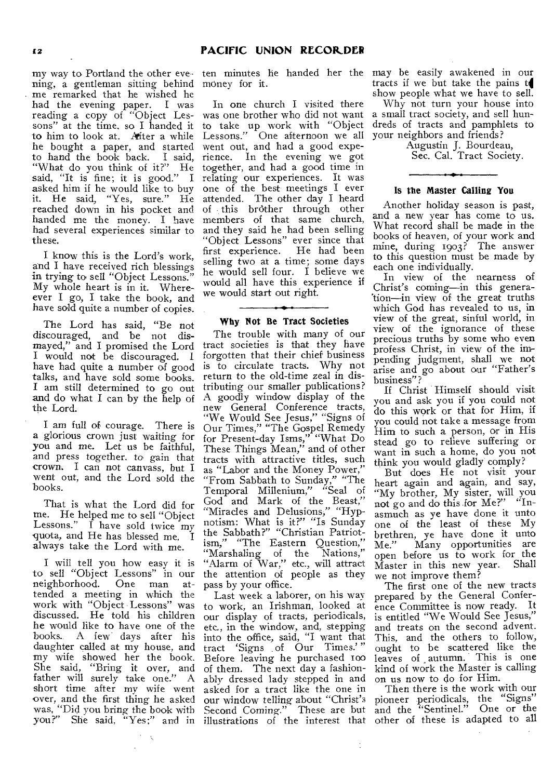ning, a gentleman sitting behind money for it. me remarked that he wished he had the evening paper. I was reading a copy of "Object Les-was one brother who did not want sons" at the time, so I handed it to take up work with "Object" to him to look at. After a while Lessons." One afternoon we all he bought a paper, and started went out, and had a good expeto hand the book back. I said, rience. In the evening we got "What do you think of it?" He said, "It is fine; it is good." I asked him if he would like to buy it. He said, "Yes, sure." He reached down in his pocket and handed me the money. I have had several experiences similar to these.

I know this is the Lord's work, and I have received rich blessings in trying to sell "Object Lessons." My whole heart is in it. Whereever I go, I take the book, and have sold quite a number of copies.

The Lord has said, "Be not discouraged, and be not dismayed," and I promised the Lord I would not be discouraged. I have had quite a number of good talks, and have sold some books. I am still determined to go out and do what I can by the help of the Lord.

I am full of courage. There is a glorious crown just waiting for you and me. Let us be faithful, and press together, to gain that crown. I can not canvass, but I went out, and the Lord sold the books.

That is what the Lord did for me. He helped me to sell "Object Lessons." I have sold twice my quota, and He has blessed me. I always take the Lord with me.

I will tell you how easy it is to sell "Object Lessons" in our neighborhood. One man attended a meeting in which the work with "Object Lessons" was discussed. He told his children he would like to have one of the<br>books. A few days after his A few days after his daughter called at my house, and my wife showed her the book. She said, "Bring it over, and father will surely take one." A short time after my wife went asked for a tract like the one in over, and the first thing he asked was, "Did you bring the book with

 $\ddot{\phantom{a}}$ 

In one church I visited there together, and had a good time in relating our experiences. It was one of the best meetings I ever attended. The other day I heard of this brother through other members of that same church, and they said he had been selling "Object Lessons" ever since that first experience. selling two at a time; some days he would sell four. I believe we would all have this experience if we would start out right.

# Why Not Be Tract Societies

The trouble with many of our tract societies is that they have forgotten that their chief business is to circulate tracts. Why not return to the old-time zeal in distributing our smaller publications? A goodly window display of the new General Conference tracts, "We Would See Jesus," "Signs of Our Times," "The Gospel Remedy for Present-day Isms," "What Do These Things Mean," and of other tracts with attractive titles, such as "Labor and the Money Power," "From Sabbath to Sunday," "The Temporal Millenium," "Seal of God and Mark of the Beast," "Miracles and Delusions," "Hypnotism: What is it?" "Is Sunday the Sabbath?" "Christian Patriotism," "The Eastern Question," "Marshaling of the Nations," "Alarm of War," etc., will attract the attention of people as they pass by your office.

Last week a laborer, on his way to work, an Irishman, looked at our display of tracts, periodicals, etc., in the window, and, stepping into the office, said, "I want that tract 'Signs of Our Times.' " Before leaving he purchased too of them. The next day a fashionably dressed lady stepped in and our window telling about "Christ's Second Coming." These are but

 $\ddot{\cdot}$ 

my way to Portland the other eve-ten minutes he handed her the may be easily awakened in our tracts if we but take the pains to show people what we have to sell.

Why not turn your house into a small tract society, and sell hundreds of tracts and pamphlets to your neighbors and friends?

Augustin J. Bourdeau, Sec. Cal. Tract Society.

# Is the Master Calling You

Another holiday season is past, and a new year has come to us. What record shall be made in the books of heaven, of your work and mine, during 1903? The answer to this question must be made by each one individually.

In view of the nearness of Christ's coming—in this generalion—in view of the great truths which God has revealed to us, in view of the great, sinful world, in view of the ignorance of these precious truths by some who even profess Christ, in view of the impending judgment, shall we not arise and go about our "Father's business"?

If Christ Himself should visit you and ask you if you could not do this work or that for Him, if you could not take a message from Him to such a person, or in His stead go to relieve suffering or want in such a home, do you not think you would gladly comply?

But does He not visit your heart again and again, and say, "My brother, My sister, will you not go and do this for Me?" "Inasmuch as ye have done it unto one of the least of these My brethren, ye have done it unto Me." Many opportunities are open before us to work for the<br>Master in this new year. Shall  $M$ aster in this new year. we not improve them?

The first one of the new tracts prepared by the General Conference Committee is now ready. It is entitled "We Would See Jesus," and treats on the second advent. This, and the others to follow, ought to be scattered like the leaves of autumn. This is one kind of work the Master is calling on us now to do for Him.

you?" She said, "Yes;" and in illustrations of the interest that other of these is adapted to all Then there is the work with our pioneer periodicals, the "Signs" and the "Sentinel." One or the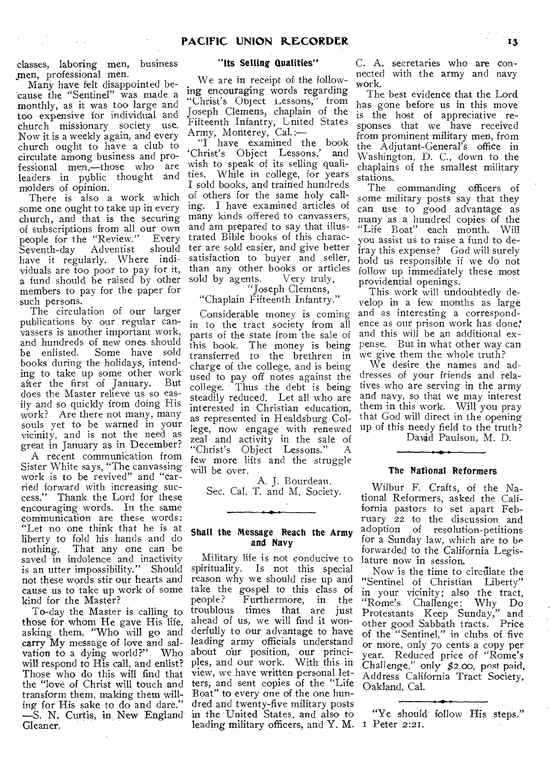classes, laboring men, business men, professional men.

Many have felt disappointed because the "Sentinel" was made a monthly, as it was too large and too expensive for individual and church missionary society use. Now it is a weekly again, and every church ought to have a club to circulate among business and professional men,—those who are leaders in public thought and molders of opinion.

There is also a work which some one ought to take up in every church, and that is the securing of subscriptions from all our own people for the "Review." Every Seventh-day Adventist should have it regularly. Where individuals are too poor to pay for it, a fund should be raised by other members to pay for the paper for such persons.

The circulation of our larger publications by our regular canvassers is another important work, and hundreds of new ones should<br>be enlisted. Some have sold Some have sold books during the holidays, intending to take up some other work after the first of January. But does the Master relieve us so easily and so quickly from doing His work? Are there not many, many souls yet to be warned in your vicinity, and is not the need as great in January as in December?

A recent communication from Sister White says, "The canvassing work is to be revived" and "carried forward with increasing success." Thank the Lord for these encouraging words. In the same communication are these words: "Let no one think that he is at liberty to fold his hands and do nothing. That any one can be saved in indolence and inactivity is an utter impossibility." Should not these words stir our hearts and cause us to take up work of some kind for the Master?

To-day the Master is calling to those for whom He gave His life, asking them, "Who will go and carry My message of love and salvation to a dying world?" Who will respond to His call, and enlist? Those who do this will find that the "love of Christ will touch and transform them, making them willing for His sake to do and dare." —S. N. Curtis, in.. New England Gleaner.

# "Its Selling Qualities"

We are in receipt of the following encouraging words regarding "Christ's Object Lessons," from Joseph Clemens, chaplain of the Fifteenth Infantry, United States Army, Monterey, Cal.:—

"I have examined the book 'Christ's Object Lessons,' and wish to speak of its selling qualities. While in college, for years I sold books, and trained hundreds of others for the same holy calling. I have examined articles of many kinds offered to canvassers, and am prepared to say that illustrated Bible books of this character are sold easier, and give better satisfaction to buyer and seller, than any other books or articles sold by agents. Very truly,

# "Joseph Clemens,

"Chaplain Fifteenth Infantry."

Considerable money is coming in to the tract society from all parts of the state from the sale of this book. The money is being transferred to the brethren in charge of the college, and is being used to pay off notes against the college. Thus the debt is being steadily reduced. Let all who are interested in Christian education, as represented in Healdsburg College, now engage with renewed zeal and activity in the sale of<br>"Christ's Object Lessons." A "Christ's Object Lessons." few more lifts and the struggle will be over.

A. J. Bourdeau, Sec. Cal. T. and M. Society.

## Shall the Message Reach the Army and Navy

Military life is not conducive to spirituality. Is not this special reason why we should rise up and take the gospel to this class of<br>people? Furthermore, in the Furthermore, in the troublous times that are just ahead of us, we will find it wonderfully to our advantage to have leading army officials understand about our position, our principles, and our work. With this in view, we have written personal letters, and sent copies of the "Life Boat" to every one of the one hundred and twenty-five military posts in the United States, and also to leading military officers, and Y. M. I Peter 2:21.

C. A. secretaries who are connected with the army and navy work.

The best evidence that the Lord has gone before us in this move is the host of appreciative responses that we have received from prominent military men, from the Adjutant-General's office in Washington, D. C., down to the chaplains of the smallest military stations.

The commanding officers of some military posts say that they can use to good advantage as many as a hundred copies of the "Life Boat" each month. Will you assist us to raise a fund to defray this expense? God will surely hold us responsible if we do not follow up immediately these most providential openings.

This work will undoubtedly develop in a few months as large and as interesting a correspondence as our prison work has done;' and this will be an additional expense. But in what other way can we give them the whole truth?

We desire the names and addresses of your friends and relatives who are serving in the army and navy, so that we may interest them in this work. Will you pray that God will direct in the opening up of this needy field to the truth?

David Paulson, M. D.

# The National Reformers

Wilbur F. Crafts, of the National Reformers, asked the California pastors to set apart February 22 to the discussion and adoption of resolution-petitions for a Sunday law, which are to be forwarded to the California Legislature now in session.

Now is the time to circulate the "Sentinel of Christian Liberty" in your vicinity; also the tract, "Rome's Challenge: Why Do Protestants Keep Sunday," and other good Sabbath tracts. Price of the "Sentinel," in clubs of five or more, only 70 cents a copy per year. Reduced price of "Rome's Challenge," only \$2.00, post paid. Address California Tract Society, Oakland, Cal.

"Ye should follow His steps."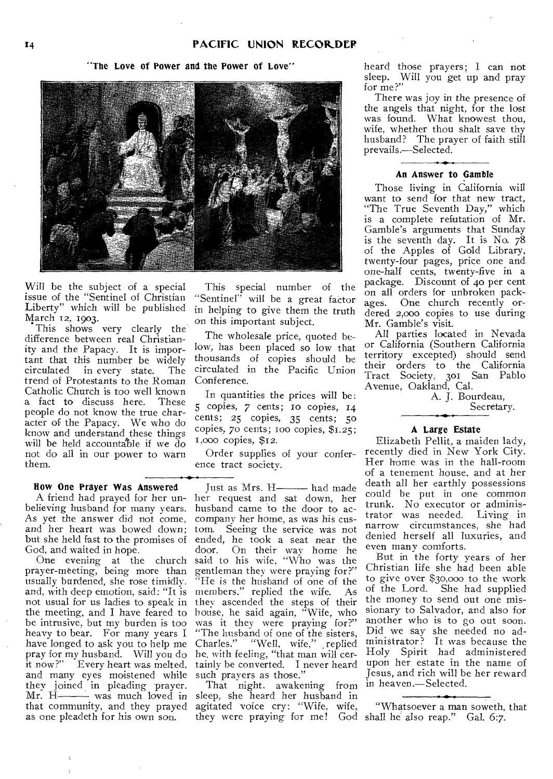# "The Love of Power and the Power of Love"



Will be the subject of a special issue of the "Sentinel of Christian Liberty" which will be published March 12, 1903.

This shows very clearly the difference between real Christianity and the Papacy. It is important that this number be widely<br>circulated in every state. The circulated in every state. trend of Protestants to the Roman Conference. Catholic Church is too well known a fact to discuss here. These people do not know the true character of the Papacy. We who do know and understand these things will be held accountable if we do not do all in our power to warn them.

#### How One Prayer Was Answered

A friend had prayed for her unbelieving husband for many years. As yet the answer did not come, and her heart was bowed down;<br>but she held fast to the promises of but she held fast to the promises of

God, and waited in hope. One evening at the church prayer-meeting, being more than usually burdened, she rose timidly. and, with deep emotion, said: "It is not usual for us ladies to speak in the meeting, and I have feared to be intrusive, but my burden is too heavy to bear. For many years I have longed to ask you to help me pray for my husband. Will you do it now?" Every heart was melted, and many eyes moistened while they joined in pleading prayer.<br>Mr. H- $\longrightarrow$  was much loved in - was much loved in that community, and they prayed as one pleadeth for his own son.

This special number of the "Sentinel" will be a great factor in helping to give them the truth on this important subject.

The wholesale price, quoted below, has been placed so low that thousands of copies should he circulated in the Pacific Union

In quantities the prices will be: 5 copies, 7 cents; io copies, 14 cents; *25* copies, 35 cents; 50 copies, 70 cents; 100 copies, \$1.25; i,000 copies, \$12.

Order supplies of your conference tract society.

Just as Mrs. H---- had made her request and sat down, her husband came to the door to accompany her home, as was his custom. Seeing the service was not ended, he took a seat near the door. On their way home he said to his wife, "Who was the gentleman they were praying for?" "He is the husband of one of the members," replied the wife. As they ascended the steps of their house, he said again, "Wife, who was it they were praying for?" "The husband of one of the sisters, Charles." "Well, wife," replied he, with feeling, "that man will certainly be converted. I never heard such prayers as those.'

That night, awakening from in heaven.—Selected. sleep, she heard her husband in agitated voice cry: "Wife, wife, they were praying for me! God shall he also reap." Gal. 6:7.

heard those prayers; I can not sleep. Will you get up and pray for me?"

There was joy in the presence of the angels that night, for the lost was found. What knowest thou, wife, whether thou shalt save thy husband? The prayer of faith still prevails.—Selected.

## An Answer to Gamble

Those living in California will want to send for that new tract, "The True Seventh Day," which is a complete refutation of Mr. Gamble's arguments that Sunday is the seventh day. It is No. 78 of the Apples of Gold Library, twenty-four pages, price one and one-half cents, twenty-five in a package. Discount of 4o per cent on all orders for unbroken packages. One church recently ordered 2,000 copies to use during Mr. Gamble's visit.

All parties located in Nevada or California (Southern California territory excepted) should send their orders to the California Tract Society, 301 San Pablo Avenue, Oakland, Cal.

> A. J. Bourdeau, Secretary.

# A Large Estate

Elizabeth Pellit, a maiden lady, recently died in New York City. Her home was in the hall-room of a tenement house, and at her death all her earthly possessions could be put in one common trunk. No executor or administrator was needed. Living in narrow circumstances, she had denied herself all luxuries, and even many comforts.

But in the forty years of her Christian life she had been able to give over \$30,000 to the work of the Lord. She had supplied the money to send out one missionary to Salvador, and also for another who is to go out soon. Did we say she needed no administrator? It was because the Holy Spirit had administered upon her estate in the name of Jesus, and rich will be her reward

"Whatsoever a man soweth, that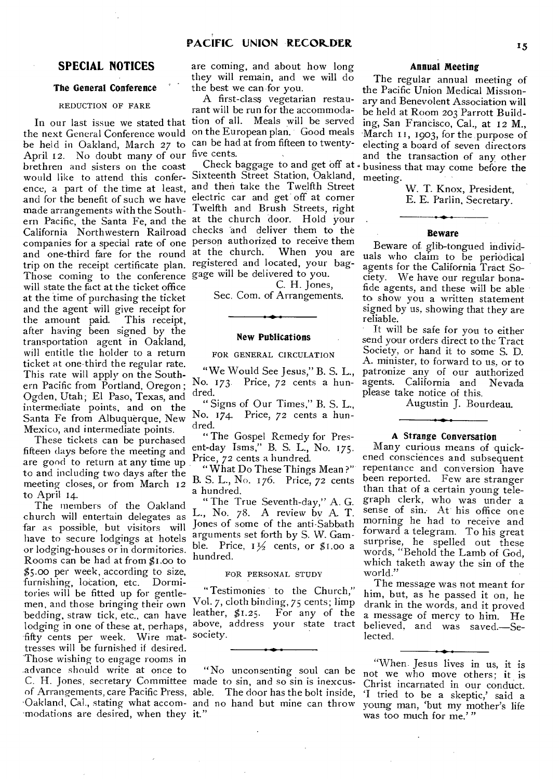# **SPECIAL NOTICES**

 $\bar{z}$ 

# The General Conference

# REDUCTION OF FARE

the next General Conference would on the European plan. Good meals be held in Oakland, March 27 to April 12. No doubt many of our five cents. brethren and sisters on the coast would like to attend this confer- Sixteenth Street Station, Oakland, ence, a part of the time at least, and then take the Twelfth Street and for the benefit of such we have electric car and get off at corner and the une sensor of such the move. Twelfth and Brush Streets, right ern Pacific, the Santa Fe, and the at the church door. Hold your California Northwestern Railroad checks and deliver them to the companies for a special rate of one person authorized to receive them and one-third fare for the round trip on the receipt certificate plan. Those coming to the conference gage will be delivered to you. will state the fact at the ticket office at the time of purchasing the ticket and the agent will give receipt for<br>the amount paid. This receipt, the amount paid. after having been signed by the transportation agent in Oakland, will entitle the holder to a return ticket at one-third the regular rate. This rate will apply on the Southern Pacific from Portland, Oregon ; Ogden, Utah; El Paso, Texas, and intermediate points, and on the Santa Fe from Albuquerque, New Mexico, and intermediate points.

These tickets can be purchased fifteen days before the meeting and are good to return at any time up to and including two days after the meeting closes, or from March 12 to April 14.

The members of the Oakland church will entertain delegates as far as possible, but visitors will have to secure lodgings at hotels or lodging-houses or in dormitories. Rooms can be had at from \$1.00 to \$5.00 per week, according to size, furnishing, location, etc. Dormitories will be fitted up for gentlemen, and those bringing their own bedding, straw tick, etc., can have lodging in one of these at, perhaps, fifty cents per week. Wire mattresses will be furnished if desired. Those wishing to engage rooms in advance should write at once to C. H. Jones, secretary Committee made to sin, and so sin is inexcusof Arrangements, care Pacific Press, able. The door has the bolt inside, Oakland, Cal., stating what accom- and no hand but mine can throw -modations are desired, when they it."

are coming, and about how long they will remain, and we will do the best we can for you.

In our last issue we stated that tion of all. Meals will be served A first-class vegetarian restaurant will be run for the accommodacan be had at from fifteen to twenty-

> at the church. When you are registered and located, your bag-

C. H. Jones, Sec. Com. of Arrangements.

#### New Publications

FOR GENERAL CIRCULATION

"We Would See Jesus," B. S. L., No. 173. Price, 72 cents a hundred.

"Signs of Our Times," B. S. L., No. 174. Price, 72 cents a hundred.

"The Gospel Remedy for Present-day Isms," B. S. L., No. 175. Price, 72 cents a hundred.

" What Do These Things Mean ?" B. S. L., No. 176. Price, 72 cents a hundred.

" The True Seventh-day," A. G. L., No. 78. A review by A. T. Jones of some of the anti-Sabbath arguments set forth by S. W. Gamble. Price,  $1\frac{1}{2}$  cents, or \$1.00 a hundred.

#### FOR PERSONAL STUDY

"Testimonies to the Church," Vol. 7, cloth binding, 75 cents; limp leather, \$1.25. For any of the above, address your state tract society.

"No unconsenting soul can be

# Annual Meeting

Check baggage to and get off at business that may come before the The regular annual meeting of the Pacific Union Medical Missionary and Benevolent Association will be held at Room 203 Parrott Building, San Francisco, Cal., at 12 M., March 11, 1903, for the purpose of electing a board of seven directors and the transaction of any other meeting.

> W. T. Knox, President, E. E. Parlin, Secretary.

#### Beware

Beware of glib-tongued individuals who claim to be periodical agents for the California Tract So-<br>ciety. We have our regular bona-We have our regular bonafide agents, and these will be able to show you a written statement signed by us, showing that they are reliable.

It will be safe for you to either send your orders direct to the Tract Society, or hand it to some S. D. A. minister, to forward to us, or to patronize any of our authorized agents. California and Nevada please take notice of this.

Augustin J. Bourdeau.

## A Strange Conversation

Many curious means of quickened consciences and subsequent repentance and conversion have been reported. Few are stranger than that of a certain young telegraph clerk, who was under a sense of sin. At his office one morning he had to receive and forward a telegram. To his great surprise, he spelled out these words, "Behold the Lamb of God, which taketh away the sin of the world."

The message was not meant for him, but, as he passed it on, he drank in the words, and it proved a message of mercy to him. He believed, and was saved.—Selected.

"When. Jesus lives in us, it is not we who move others; it is Christ incarnated in our conduct. `I tried to be a skeptic,' said a young man, 'but my mother's life was too much for me.'"